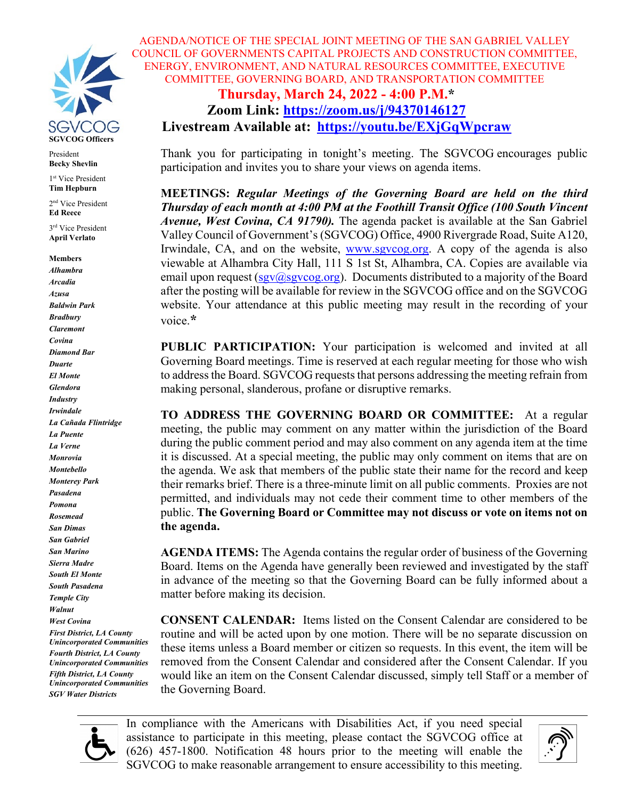

President **Becky Shevlin** 

1st Vice President **Tim Hepburn**

2nd Vice President **Ed Reece**

3rd Vice President **April Verlato**

#### **Members**

*Alhambra Arcadia Azusa Baldwin Park Bradbury Claremont Covina Diamond Bar Duarte El Monte Glendora Industry Irwindale La Cañada Flintridge La Puente La Verne Monrovia Montebello Monterey Park Pasadena Pomona Rosemead San Dimas San Gabriel San Marino Sierra Madre South El Monte South Pasadena Temple City Walnut West Covina First District, LA County Unincorporated Communities Fourth District, LA County Unincorporated Communities Fifth District, LA County Unincorporated Communities SGV Water Districts*

AGENDA/NOTICE OF THE SPECIAL JOINT MEETING OF THE SAN GABRIEL VALLEY COUNCIL OF GOVERNMENTS CAPITAL PROJECTS AND CONSTRUCTION COMMITTEE, ENERGY, ENVIRONMENT, AND NATURAL RESOURCES COMMITTEE, EXECUTIVE COMMITTEE, GOVERNING BOARD, AND TRANSPORTATION COMMITTEE **Thursday, March 24, 2022 - 4:00 P.M.\***

# **Zoom Link:<https://zoom.us/j/94370146127> Livestream Available at: <https://youtu.be/EXjGqWpcraw>**

Thank you for participating in tonight's meeting. The SGVCOG encourages public participation and invites you to share your views on agenda items.

**MEETINGS:** *Regular Meetings of the Governing Board are held on the third Thursday of each month at 4:00 PM at the Foothill Transit Office (100 South Vincent Avenue, West Covina, CA 91790).* The agenda packet is available at the San Gabriel Valley Council of Government's (SGVCOG) Office, 4900 Rivergrade Road, Suite A120, Irwindale, CA, and on the website, [www.sgvcog.org.](http://www.sgvcog.org/) A copy of the agenda is also viewable at Alhambra City Hall, 111 S 1st St, Alhambra, CA. Copies are available via email upon request ( $sgv@sgvcog.org$ ). Documents distributed to a majority of the Board after the posting will be available for review in the SGVCOG office and on the SGVCOG website. Your attendance at this public meeting may result in the recording of your voice.**\***

**PUBLIC PARTICIPATION:** Your participation is welcomed and invited at all Governing Board meetings. Time is reserved at each regular meeting for those who wish to address the Board. SGVCOG requests that persons addressing the meeting refrain from making personal, slanderous, profane or disruptive remarks.

**TO ADDRESS THE GOVERNING BOARD OR COMMITTEE:** At a regular meeting, the public may comment on any matter within the jurisdiction of the Board during the public comment period and may also comment on any agenda item at the time it is discussed. At a special meeting, the public may only comment on items that are on the agenda. We ask that members of the public state their name for the record and keep their remarks brief. There is a three-minute limit on all public comments.Proxies are not permitted, and individuals may not cede their comment time to other members of the public. **The Governing Board or Committee may not discuss or vote on items not on the agenda.**

**AGENDA ITEMS:** The Agenda contains the regular order of business of the Governing Board. Items on the Agenda have generally been reviewed and investigated by the staff in advance of the meeting so that the Governing Board can be fully informed about a matter before making its decision.

**CONSENT CALENDAR:** Items listed on the Consent Calendar are considered to be routine and will be acted upon by one motion. There will be no separate discussion on these items unless a Board member or citizen so requests. In this event, the item will be removed from the Consent Calendar and considered after the Consent Calendar. If you would like an item on the Consent Calendar discussed, simply tell Staff or a member of the Governing Board.



In compliance with the Americans with Disabilities Act, if you need special assistance to participate in this meeting, please contact the SGVCOG office at (626) 457-1800. Notification 48 hours prior to the meeting will enable the SGVCOG to make reasonable arrangement to ensure accessibility to this meeting.

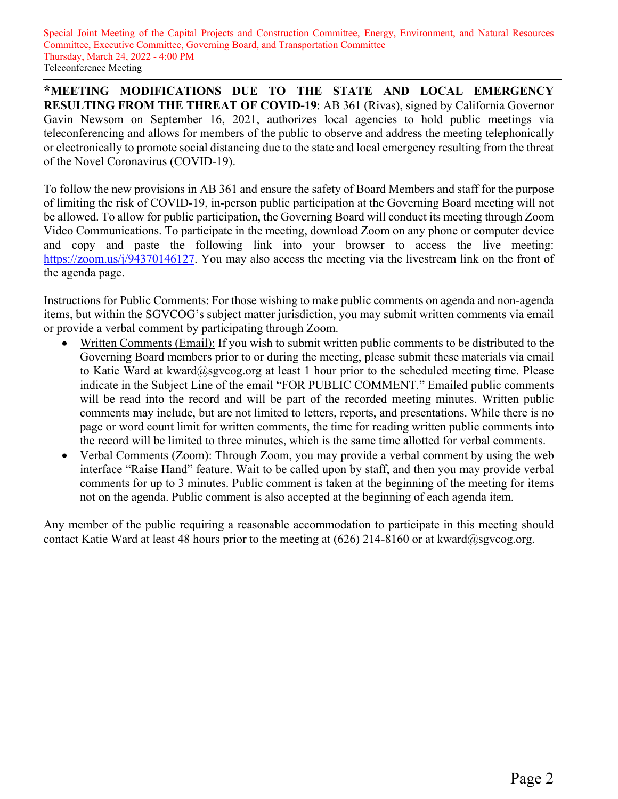Special Joint Meeting of the Capital Projects and Construction Committee, Energy, Environment, and Natural Resources Committee, Executive Committee, Governing Board, and Transportation Committee Thursday, March 24, 2022 - 4:00 PM Teleconference Meeting

**\*MEETING MODIFICATIONS DUE TO THE STATE AND LOCAL EMERGENCY RESULTING FROM THE THREAT OF COVID-19**: AB 361 (Rivas), signed by California Governor Gavin Newsom on September 16, 2021, authorizes local agencies to hold public meetings via teleconferencing and allows for members of the public to observe and address the meeting telephonically or electronically to promote social distancing due to the state and local emergency resulting from the threat of the Novel Coronavirus (COVID-19).

To follow the new provisions in AB 361 and ensure the safety of Board Members and staff for the purpose of limiting the risk of COVID-19, in-person public participation at the Governing Board meeting will not be allowed. To allow for public participation, the Governing Board will conduct its meeting through Zoom Video Communications. To participate in the meeting, download Zoom on any phone or computer device and copy and paste the following link into your browser to access the live meeting: [https://zoom.us/j/94370146127.](https://zoom.us/j/94370146127) You may also access the meeting via the livestream link on the front of the agenda page.

Instructions for Public Comments: For those wishing to make public comments on agenda and non-agenda items, but within the SGVCOG's subject matter jurisdiction, you may submit written comments via email or provide a verbal comment by participating through Zoom.

- Written Comments (Email): If you wish to submit written public comments to be distributed to the Governing Board members prior to or during the meeting, please submit these materials via email to Katie Ward at kward@sgvcog.org at least 1 hour prior to the scheduled meeting time. Please indicate in the Subject Line of the email "FOR PUBLIC COMMENT." Emailed public comments will be read into the record and will be part of the recorded meeting minutes. Written public comments may include, but are not limited to letters, reports, and presentations. While there is no page or word count limit for written comments, the time for reading written public comments into the record will be limited to three minutes, which is the same time allotted for verbal comments.
- Verbal Comments (Zoom): Through Zoom, you may provide a verbal comment by using the web interface "Raise Hand" feature. Wait to be called upon by staff, and then you may provide verbal comments for up to 3 minutes. Public comment is taken at the beginning of the meeting for items not on the agenda. Public comment is also accepted at the beginning of each agenda item.

Any member of the public requiring a reasonable accommodation to participate in this meeting should contact Katie Ward at least 48 hours prior to the meeting at  $(626)$  214-8160 or at kward@sgvcog.org.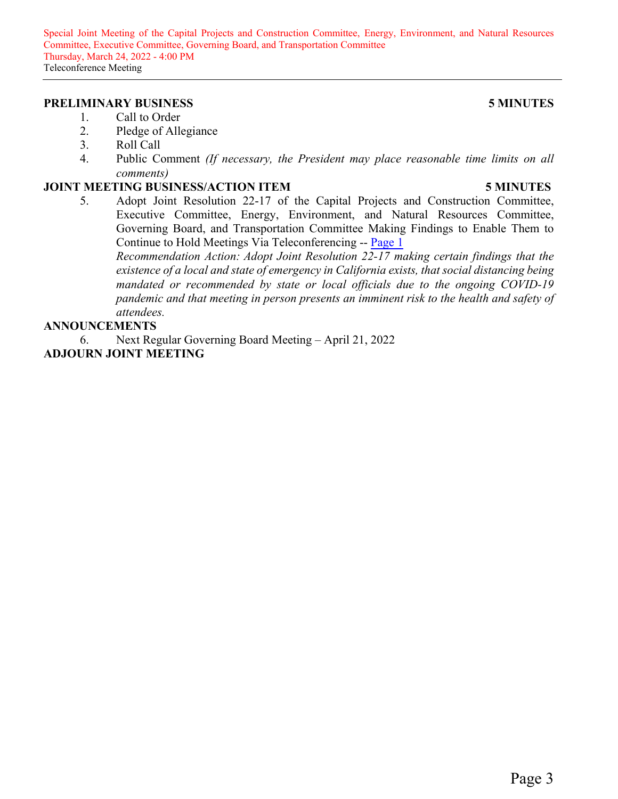Special Joint Meeting of the Capital Projects and Construction Committee, Energy, Environment, and Natural Resources Committee, Executive Committee, Governing Board, and Transportation Committee Thursday, March 24, 2022 - 4:00 PM Teleconference Meeting

#### **PRELIMINARY BUSINESS 5 MINUTES**

#### 1. Call to Order

- 2. Pledge of Allegiance
- 3. Roll Call
- 4. Public Comment *(If necessary, the President may place reasonable time limits on all comments)*

#### **JOINT MEETING BUSINESS/ACTION ITEM 5 MINUTES**

## 5. Adopt Joint Resolution 22-17 of the Capital Projects and Construction Committee, Executive Committee, Energy, Environment, and Natural Resources Committee, Governing Board, and Transportation Committee Making Findings to Enable Them to

Continue to Hold Meetings Via Teleconferencing -- [Page 1](#page-4-0) *Recommendation Action: Adopt Joint Resolution 22-17 making certain findings that the existence of a local and state of emergency in California exists, that social distancing being mandated or recommended by state or local officials due to the ongoing COVID-19 pandemic and that meeting in person presents an imminent risk to the health and safety of attendees.*

#### **ANNOUNCEMENTS**

6. Next Regular Governing Board Meeting – April 21, 2022 **ADJOURN JOINT MEETING**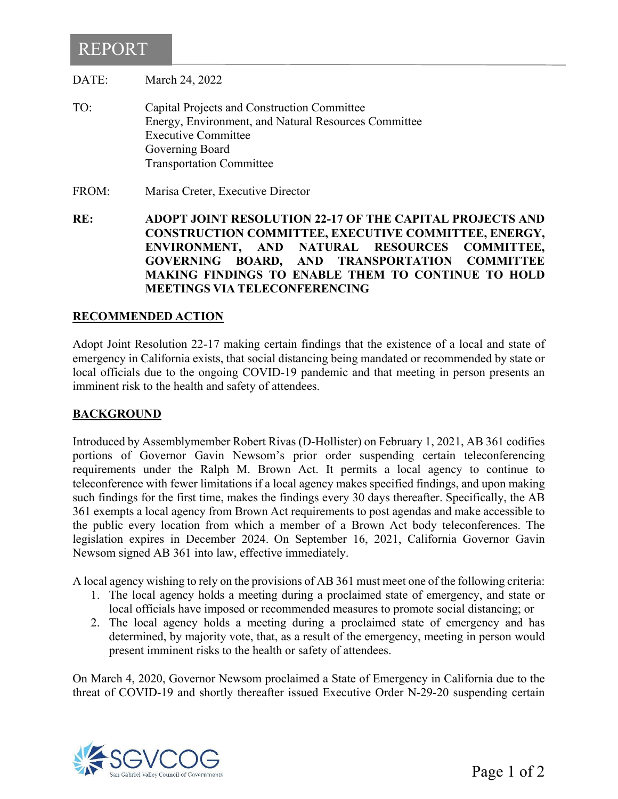# <span id="page-4-0"></span>REPORT

DATE: March 24, 2022

- TO: Capital Projects and Construction Committee Energy, Environment, and Natural Resources Committee Executive Committee Governing Board Transportation Committee
- FROM: Marisa Creter, Executive Director

**RE: ADOPT JOINT RESOLUTION 22-17 OF THE CAPITAL PROJECTS AND CONSTRUCTION COMMITTEE, EXECUTIVE COMMITTEE, ENERGY, ENVIRONMENT, AND NATURAL RESOURCES COMMITTEE, GOVERNING BOARD, AND TRANSPORTATION COMMITTEE MAKING FINDINGS TO ENABLE THEM TO CONTINUE TO HOLD MEETINGS VIA TELECONFERENCING**

### **RECOMMENDED ACTION**

Adopt Joint Resolution 22-17 making certain findings that the existence of a local and state of emergency in California exists, that social distancing being mandated or recommended by state or local officials due to the ongoing COVID-19 pandemic and that meeting in person presents an imminent risk to the health and safety of attendees.

#### **BACKGROUND**

Introduced by Assemblymember Robert Rivas (D-Hollister) on February 1, 2021, AB 361 codifies portions of Governor Gavin Newsom's prior order suspending certain teleconferencing requirements under the Ralph M. Brown Act. It permits a local agency to continue to teleconference with fewer limitations if a local agency makes specified findings, and upon making such findings for the first time, makes the findings every 30 days thereafter. Specifically, the AB 361 exempts a local agency from Brown Act requirements to post agendas and make accessible to the public every location from which a member of a Brown Act body teleconferences. The legislation expires in December 2024. On September 16, 2021, California Governor Gavin Newsom signed AB 361 into law, effective immediately.

A local agency wishing to rely on the provisions of AB 361 must meet one of the following criteria:

- 1. The local agency holds a meeting during a proclaimed state of emergency, and state or local officials have imposed or recommended measures to promote social distancing; or
- 2. The local agency holds a meeting during a proclaimed state of emergency and has determined, by majority vote, that, as a result of the emergency, meeting in person would present imminent risks to the health or safety of attendees.

On March 4, 2020, Governor Newsom proclaimed a State of Emergency in California due to the threat of COVID-19 and shortly thereafter issued Executive Order N-29-20 suspending certain